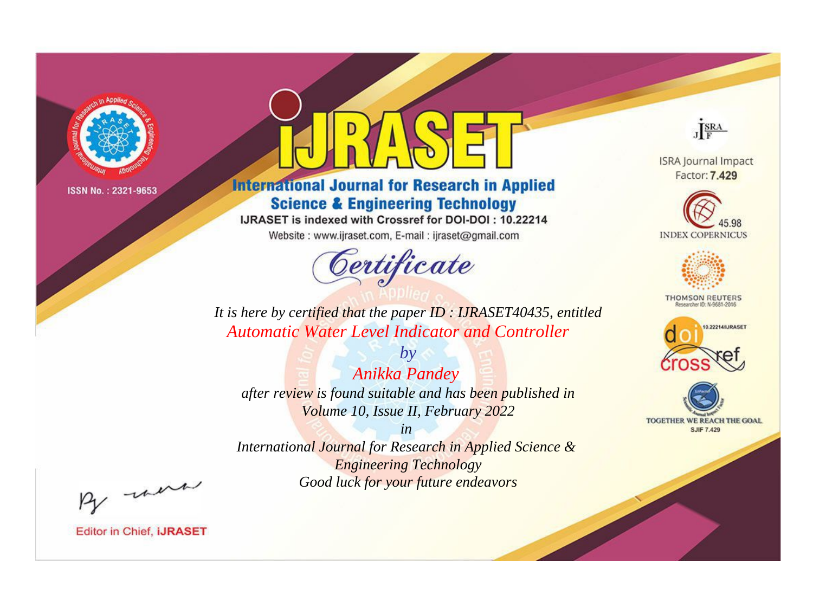

# **International Journal for Research in Applied Science & Engineering Technology**

IJRASET is indexed with Crossref for DOI-DOI: 10.22214

Website: www.ijraset.com, E-mail: ijraset@gmail.com



JERA

**ISRA Journal Impact** Factor: 7.429





**THOMSON REUTERS** 



TOGETHER WE REACH THE GOAL **SJIF 7.429** 

It is here by certified that the paper ID: IJRASET40435, entitled **Automatic Water Level Indicator and Controller** 

 $by$ **Anikka Pandey** after review is found suitable and has been published in Volume 10, Issue II, February 2022

 $in$ International Journal for Research in Applied Science & **Engineering Technology** Good luck for your future endeavors

By morn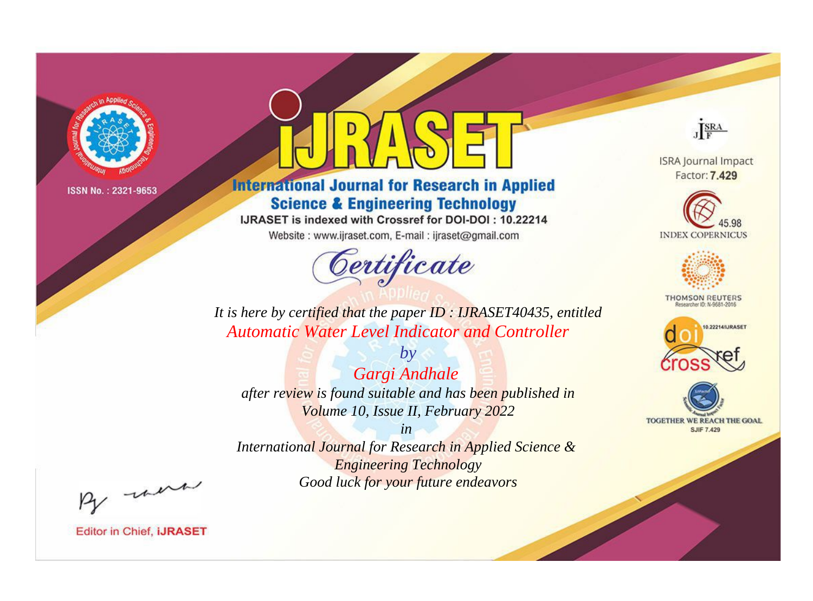

# **International Journal for Research in Applied Science & Engineering Technology**

IJRASET is indexed with Crossref for DOI-DOI: 10.22214

Website: www.ijraset.com, E-mail: ijraset@gmail.com



JERA

**ISRA Journal Impact** Factor: 7.429





**THOMSON REUTERS** 



TOGETHER WE REACH THE GOAL **SJIF 7.429** 

It is here by certified that the paper ID: IJRASET40435, entitled **Automatic Water Level Indicator and Controller** 

 $by$ Gargi Andhale after review is found suitable and has been published in Volume 10, Issue II, February 2022

 $in$ International Journal for Research in Applied Science & **Engineering Technology** Good luck for your future endeavors

By morn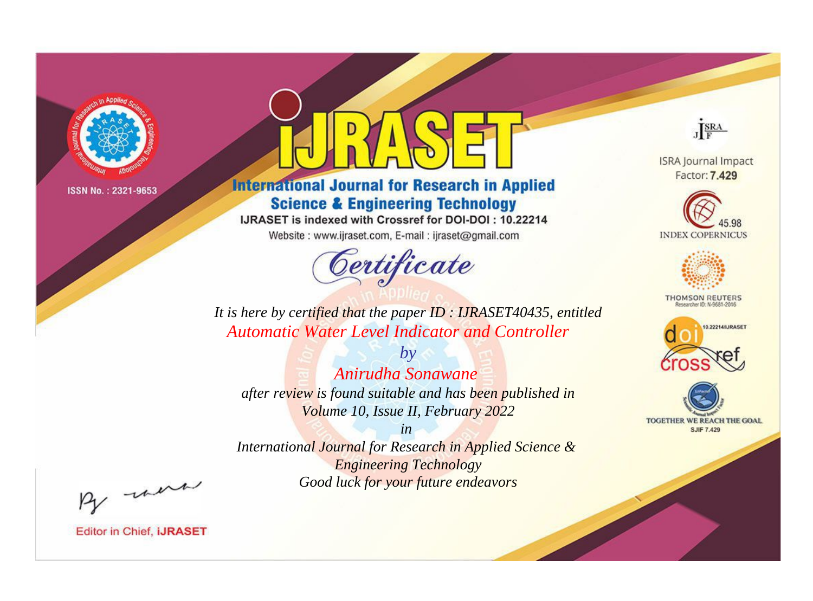

# **International Journal for Research in Applied Science & Engineering Technology**

IJRASET is indexed with Crossref for DOI-DOI: 10.22214

Website: www.ijraset.com, E-mail: ijraset@gmail.com



JERA

**ISRA Journal Impact** Factor: 7.429





**THOMSON REUTERS** 



TOGETHER WE REACH THE GOAL **SJIF 7.429** 

It is here by certified that the paper ID: IJRASET40435, entitled Automatic Water Level Indicator and Controller

Anirudha Sonawane after review is found suitable and has been published in Volume 10, Issue II, February 2022

 $b\nu$ 

 $in$ International Journal for Research in Applied Science & **Engineering Technology** Good luck for your future endeavors

By morn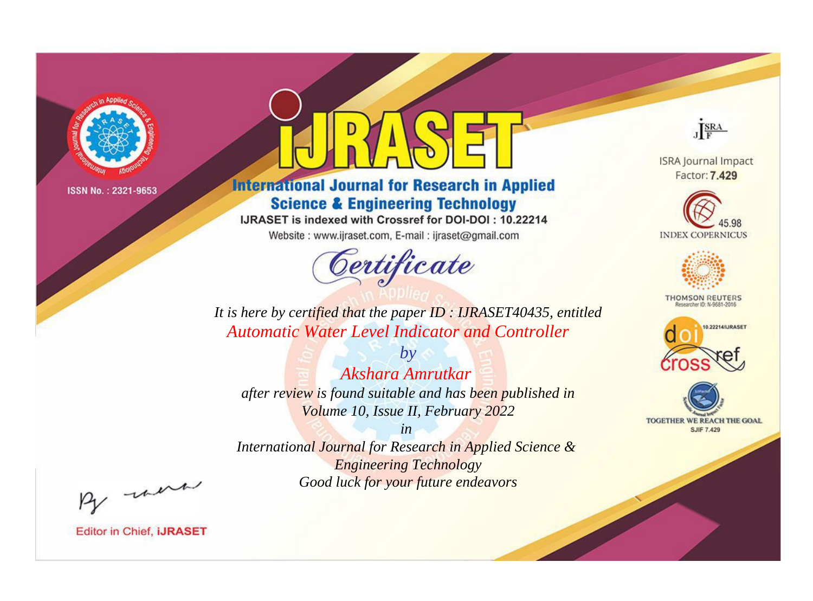

# **International Journal for Research in Applied Science & Engineering Technology**

IJRASET is indexed with Crossref for DOI-DOI: 10.22214

Website: www.ijraset.com, E-mail: ijraset@gmail.com



JERA

**ISRA Journal Impact** Factor: 7.429





**THOMSON REUTERS** 



TOGETHER WE REACH THE GOAL **SJIF 7.429** 

It is here by certified that the paper ID: IJRASET40435, entitled **Automatic Water Level Indicator and Controller** 

Akshara Amrutkar after review is found suitable and has been published in Volume 10, Issue II, February 2022

 $b\nu$ 

 $in$ International Journal for Research in Applied Science & **Engineering Technology** Good luck for your future endeavors

By morn